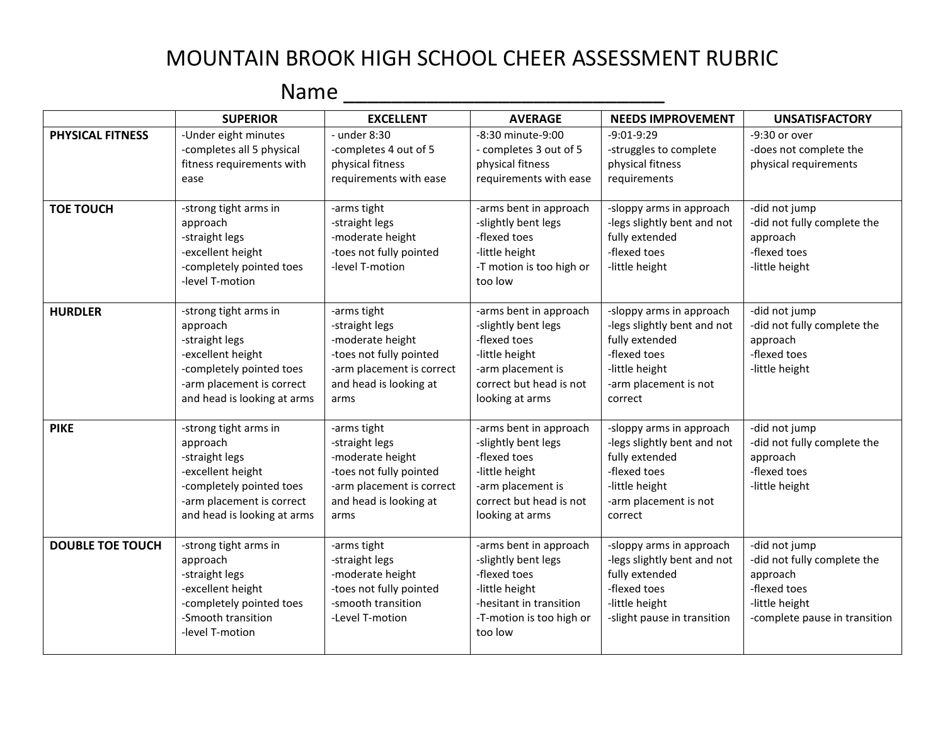## MOUNTAIN BROOK HIGH SCHOOL CHEER ASSESSMENT RUBRIC

## Name \_\_\_\_\_\_\_\_\_\_\_\_\_\_\_\_\_\_\_\_\_\_\_\_\_\_\_

|                         | <b>SUPERIOR</b>                                                                                                                                                  | <b>EXCELLENT</b>                                                                                                                            | <b>AVERAGE</b>                                                                                                                                     | <b>NEEDS IMPROVEMENT</b>                                                                                                                        | <b>UNSATISFACTORY</b>                                                                                                       |
|-------------------------|------------------------------------------------------------------------------------------------------------------------------------------------------------------|---------------------------------------------------------------------------------------------------------------------------------------------|----------------------------------------------------------------------------------------------------------------------------------------------------|-------------------------------------------------------------------------------------------------------------------------------------------------|-----------------------------------------------------------------------------------------------------------------------------|
| PHYSICAL FITNESS        | -Under eight minutes<br>-completes all 5 physical<br>fitness requirements with<br>ease                                                                           | - under 8:30<br>-completes 4 out of 5<br>physical fitness<br>requirements with ease                                                         | -8:30 minute-9:00<br>- completes 3 out of 5<br>physical fitness<br>requirements with ease                                                          | $-9:01-9:29$<br>-struggles to complete<br>physical fitness<br>requirements                                                                      | -9:30 or over<br>-does not complete the<br>physical requirements                                                            |
| <b>TOE TOUCH</b>        | -strong tight arms in<br>approach<br>-straight legs<br>-excellent height<br>-completely pointed toes<br>-level T-motion                                          | -arms tight<br>-straight legs<br>-moderate height<br>-toes not fully pointed<br>-level T-motion                                             | -arms bent in approach<br>-slightly bent legs<br>-flexed toes<br>-little height<br>-T motion is too high or<br>too low                             | -sloppy arms in approach<br>-legs slightly bent and not<br>fully extended<br>-flexed toes<br>-little height                                     | -did not jump<br>-did not fully complete the<br>approach<br>-flexed toes<br>-little height                                  |
| <b>HURDLER</b>          | -strong tight arms in<br>approach<br>-straight legs<br>-excellent height<br>-completely pointed toes<br>-arm placement is correct<br>and head is looking at arms | -arms tight<br>-straight legs<br>-moderate height<br>-toes not fully pointed<br>-arm placement is correct<br>and head is looking at<br>arms | -arms bent in approach<br>-slightly bent legs<br>-flexed toes<br>-little height<br>-arm placement is<br>correct but head is not<br>looking at arms | -sloppy arms in approach<br>-legs slightly bent and not<br>fully extended<br>-flexed toes<br>-little height<br>-arm placement is not<br>correct | -did not jump<br>-did not fully complete the<br>approach<br>-flexed toes<br>-little height                                  |
| <b>PIKE</b>             | -strong tight arms in<br>approach<br>-straight legs<br>-excellent height<br>-completely pointed toes<br>-arm placement is correct<br>and head is looking at arms | -arms tight<br>-straight legs<br>-moderate height<br>-toes not fully pointed<br>-arm placement is correct<br>and head is looking at<br>arms | -arms bent in approach<br>-slightly bent legs<br>-flexed toes<br>-little height<br>-arm placement is<br>correct but head is not<br>looking at arms | -sloppy arms in approach<br>-legs slightly bent and not<br>fully extended<br>-flexed toes<br>-little height<br>-arm placement is not<br>correct | -did not jump<br>-did not fully complete the<br>approach<br>-flexed toes<br>-little height                                  |
| <b>DOUBLE TOE TOUCH</b> | -strong tight arms in<br>approach<br>-straight legs<br>-excellent height<br>-completely pointed toes<br>-Smooth transition<br>-level T-motion                    | -arms tight<br>-straight legs<br>-moderate height<br>-toes not fully pointed<br>-smooth transition<br>-Level T-motion                       | -arms bent in approach<br>-slightly bent legs<br>-flexed toes<br>-little height<br>-hesitant in transition<br>-T-motion is too high or<br>too low  | -sloppy arms in approach<br>-legs slightly bent and not<br>fully extended<br>-flexed toes<br>-little height<br>-slight pause in transition      | -did not jump<br>-did not fully complete the<br>approach<br>-flexed toes<br>-little height<br>-complete pause in transition |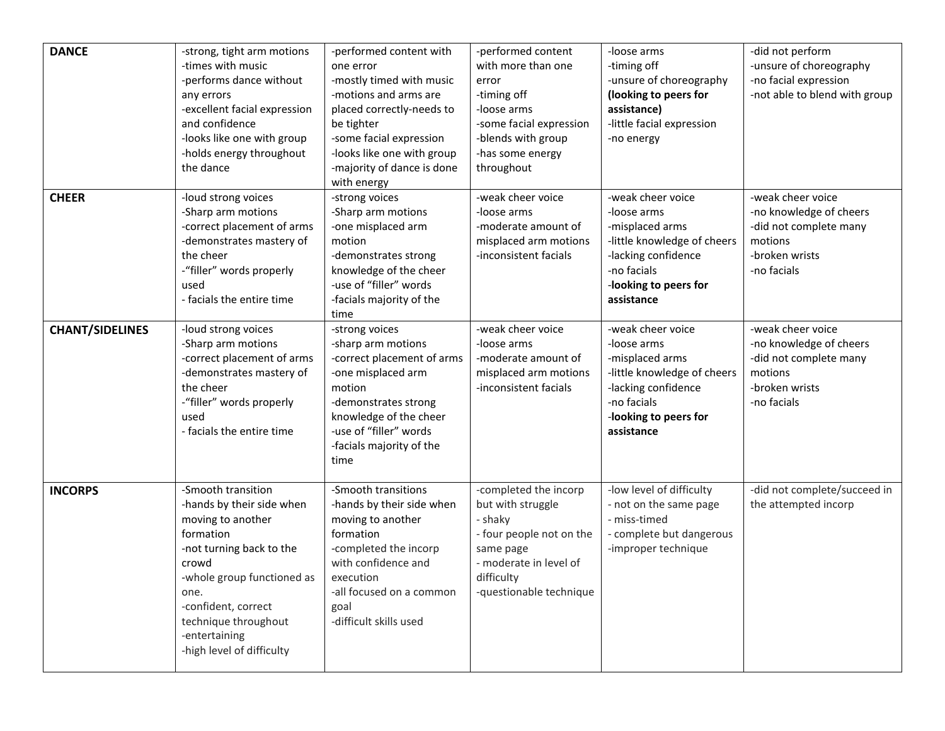| <b>DANCE</b>           | -strong, tight arm motions<br>-times with music<br>-performs dance without<br>any errors<br>-excellent facial expression<br>and confidence<br>-looks like one with group<br>-holds energy throughout<br>the dance                                         | -performed content with<br>one error<br>-mostly timed with music<br>-motions and arms are<br>placed correctly-needs to<br>be tighter<br>-some facial expression<br>-looks like one with group<br>-majority of dance is done<br>with energy | -performed content<br>with more than one<br>error<br>-timing off<br>-loose arms<br>-some facial expression<br>-blends with group<br>-has some energy<br>throughout | -loose arms<br>-timing off<br>-unsure of choreography<br>(looking to peers for<br>assistance)<br>-little facial expression<br>-no energy                        | -did not perform<br>-unsure of choreography<br>-no facial expression<br>-not able to blend with group              |
|------------------------|-----------------------------------------------------------------------------------------------------------------------------------------------------------------------------------------------------------------------------------------------------------|--------------------------------------------------------------------------------------------------------------------------------------------------------------------------------------------------------------------------------------------|--------------------------------------------------------------------------------------------------------------------------------------------------------------------|-----------------------------------------------------------------------------------------------------------------------------------------------------------------|--------------------------------------------------------------------------------------------------------------------|
| <b>CHEER</b>           | -loud strong voices<br>-Sharp arm motions<br>-correct placement of arms<br>-demonstrates mastery of<br>the cheer<br>-"filler" words properly<br>used<br>- facials the entire time                                                                         | -strong voices<br>-Sharp arm motions<br>-one misplaced arm<br>motion<br>-demonstrates strong<br>knowledge of the cheer<br>-use of "filler" words<br>-facials majority of the<br>time                                                       | -weak cheer voice<br>-loose arms<br>-moderate amount of<br>misplaced arm motions<br>-inconsistent facials                                                          | -weak cheer voice<br>-loose arms<br>-misplaced arms<br>-little knowledge of cheers<br>-lacking confidence<br>-no facials<br>-looking to peers for<br>assistance | -weak cheer voice<br>-no knowledge of cheers<br>-did not complete many<br>motions<br>-broken wrists<br>-no facials |
| <b>CHANT/SIDELINES</b> | -loud strong voices<br>-Sharp arm motions<br>-correct placement of arms<br>-demonstrates mastery of<br>the cheer<br>-"filler" words properly<br>used<br>- facials the entire time                                                                         | -strong voices<br>-sharp arm motions<br>-correct placement of arms<br>-one misplaced arm<br>motion<br>-demonstrates strong<br>knowledge of the cheer<br>-use of "filler" words<br>-facials majority of the<br>time                         | -weak cheer voice<br>-loose arms<br>-moderate amount of<br>misplaced arm motions<br>-inconsistent facials                                                          | -weak cheer voice<br>-loose arms<br>-misplaced arms<br>-little knowledge of cheers<br>-lacking confidence<br>-no facials<br>-looking to peers for<br>assistance | -weak cheer voice<br>-no knowledge of cheers<br>-did not complete many<br>motions<br>-broken wrists<br>-no facials |
| <b>INCORPS</b>         | -Smooth transition<br>-hands by their side when<br>moving to another<br>formation<br>-not turning back to the<br>crowd<br>-whole group functioned as<br>one.<br>-confident, correct<br>technique throughout<br>-entertaining<br>-high level of difficulty | -Smooth transitions<br>-hands by their side when<br>moving to another<br>formation<br>-completed the incorp<br>with confidence and<br>execution<br>-all focused on a common<br>goal<br>-difficult skills used                              | -completed the incorp<br>but with struggle<br>- shaky<br>- four people not on the<br>same page<br>- moderate in level of<br>difficulty<br>-questionable technique  | -low level of difficulty<br>- not on the same page<br>- miss-timed<br>- complete but dangerous<br>-improper technique                                           | -did not complete/succeed in<br>the attempted incorp                                                               |